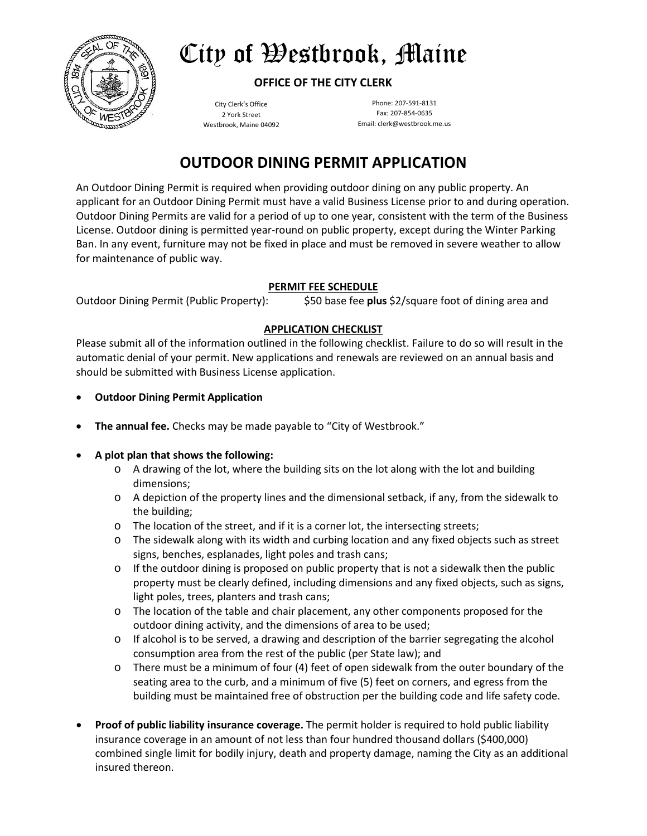

# City of Westbrook, Maine

### **OFFICE OF THE CITY CLERK**

City Clerk's Office 2 York Street Westbrook, Maine 04092

Phone: 207-591-8131 Fax: 207-854-0635 Email: clerk@westbrook.me.us

## **OUTDOOR DINING PERMIT APPLICATION**

An Outdoor Dining Permit is required when providing outdoor dining on any public property. An applicant for an Outdoor Dining Permit must have a valid Business License prior to and during operation. Outdoor Dining Permits are valid for a period of up to one year, consistent with the term of the Business License. Outdoor dining is permitted year-round on public property, except during the Winter Parking Ban. In any event, furniture may not be fixed in place and must be removed in severe weather to allow for maintenance of public way.

#### **PERMIT FEE SCHEDULE**

#### Outdoor Dining Permit (Public Property): \$50 base fee **plus** \$2/square foot of dining area and

#### **APPLICATION CHECKLIST**

Please submit all of the information outlined in the following checklist. Failure to do so will result in the automatic denial of your permit. New applications and renewals are reviewed on an annual basis and should be submitted with Business License application.

- **Outdoor Dining Permit Application**
- **The annual fee.** Checks may be made payable to "City of Westbrook."
- **A plot plan that shows the following:**
	- o A drawing of the lot, where the building sits on the lot along with the lot and building dimensions;
	- o A depiction of the property lines and the dimensional setback, if any, from the sidewalk to the building;
	- $\circ$  The location of the street, and if it is a corner lot, the intersecting streets;
	- o The sidewalk along with its width and curbing location and any fixed objects such as street signs, benches, esplanades, light poles and trash cans;
	- $\circ$  If the outdoor dining is proposed on public property that is not a sidewalk then the public property must be clearly defined, including dimensions and any fixed objects, such as signs, light poles, trees, planters and trash cans;
	- o The location of the table and chair placement, any other components proposed for the outdoor dining activity, and the dimensions of area to be used;
	- $\circ$  If alcohol is to be served, a drawing and description of the barrier segregating the alcohol consumption area from the rest of the public (per State law); and
	- o There must be a minimum of four (4) feet of open sidewalk from the outer boundary of the seating area to the curb, and a minimum of five (5) feet on corners, and egress from the building must be maintained free of obstruction per the building code and life safety code.
- **Proof of public liability insurance coverage.** The permit holder is required to hold public liability insurance coverage in an amount of not less than four hundred thousand dollars (\$400,000) combined single limit for bodily injury, death and property damage, naming the City as an additional insured thereon.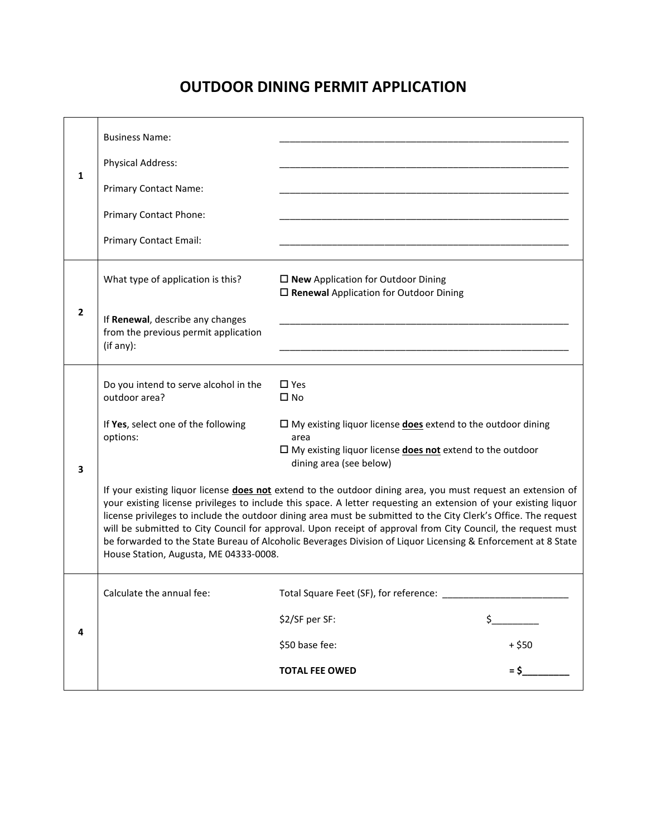## **OUTDOOR DINING PERMIT APPLICATION**

| 1              | <b>Business Name:</b><br><b>Physical Address:</b><br><b>Primary Contact Name:</b><br>Primary Contact Phone:<br>Primary Contact Email:                                                                                                                                                                                                                                                                                                                                                                                                                                                                                                                                                                                                                                                                                                                                                                                                                                    |                                                                                                     |                          |
|----------------|--------------------------------------------------------------------------------------------------------------------------------------------------------------------------------------------------------------------------------------------------------------------------------------------------------------------------------------------------------------------------------------------------------------------------------------------------------------------------------------------------------------------------------------------------------------------------------------------------------------------------------------------------------------------------------------------------------------------------------------------------------------------------------------------------------------------------------------------------------------------------------------------------------------------------------------------------------------------------|-----------------------------------------------------------------------------------------------------|--------------------------|
| $\overline{2}$ | What type of application is this?<br>If Renewal, describe any changes<br>from the previous permit application<br>(if any):                                                                                                                                                                                                                                                                                                                                                                                                                                                                                                                                                                                                                                                                                                                                                                                                                                               | $\square$ New Application for Outdoor Dining<br>$\square$ Renewal Application for Outdoor Dining    |                          |
| 3              | $\square$ Yes<br>Do you intend to serve alcohol in the<br>outdoor area?<br>$\square$ No<br>If Yes, select one of the following<br>$\Box$ My existing liquor license <b>does</b> extend to the outdoor dining<br>options:<br>area<br>$\Box$ My existing liquor license <b>does not</b> extend to the outdoor<br>dining area (see below)<br>If your existing liquor license does not extend to the outdoor dining area, you must request an extension of<br>your existing license privileges to include this space. A letter requesting an extension of your existing liquor<br>license privileges to include the outdoor dining area must be submitted to the City Clerk's Office. The request<br>will be submitted to City Council for approval. Upon receipt of approval from City Council, the request must<br>be forwarded to the State Bureau of Alcoholic Beverages Division of Liquor Licensing & Enforcement at 8 State<br>House Station, Augusta, ME 04333-0008. |                                                                                                     |                          |
| 4              | Calculate the annual fee:                                                                                                                                                                                                                                                                                                                                                                                                                                                                                                                                                                                                                                                                                                                                                                                                                                                                                                                                                | Total Square Feet (SF), for reference:<br>\$2/SF per SF:<br>\$50 base fee:<br><b>TOTAL FEE OWED</b> | \$<br>$+$ \$50<br>$=$ \$ |